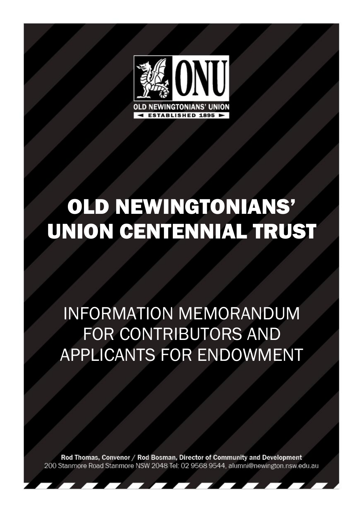

## OLD NEWINGTONIANS' UNION CENTENNIAL TRUST

### INFORMATION MEMORANDUM FOR CONTRIBUTORS AND APPLICANTS FOR ENDOWMENT

Rod Thomas, Convenor / Rod Bosman, Director of Community and Development 200 Stanmore Road Stanmore NSW 2048 Tel: 02 9568 9544, alumni@newington.nsw.edu.au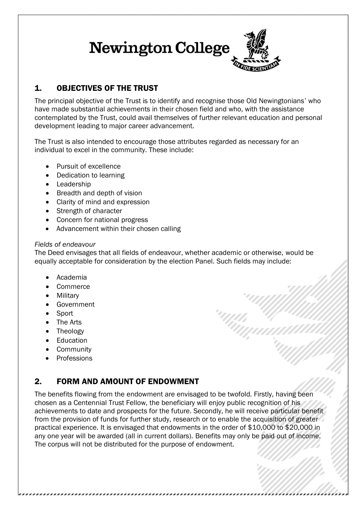# **Newington College**

#### 1. OBJECTIVES OF THE TRUST

The principal objective of the Trust is to identify and recognise those Old Newingtonians' who have made substantial achievements in their chosen field and who, with the assistance contemplated by the Trust, could avail themselves of further relevant education and personal development leading to major career advancement.

The Trust is also intended to encourage those attributes regarded as necessary for an individual to excel in the community. These include:

- Pursuit of excellence
- Dedication to learning
- Leadership
- Breadth and depth of vision
- Clarity of mind and expression
- Strength of character
- Concern for national progress
- Advancement within their chosen calling

#### *Fields of endeavour*

The Deed envisages that all fields of endeavour, whether academic or otherwise, would be equally acceptable for consideration by the election Panel. Such fields may include:

- Academia
- Commerce
- Military
- Government
- Sport
- The Arts
- Theology
- Education
- Community
- Professions

#### 2. FORM AND AMOUNT OF ENDOWMENT

The benefits flowing from the endowment are envisaged to be twofold. Firstly, having been chosen as a Centennial Trust Fellow, the beneficiary will enjoy public recognition of his achievements to date and prospects for the future. Secondly, he will receive particular benefit from the provision of funds for further study, research or to enable the acquisition of greater practical experience. It is envisaged that endowments in the order of \$10,000 to \$20,000 in any one year will be awarded (all in current dollars). Benefits may only be paid out of income. The corpus will not be distributed for the purpose of endowment.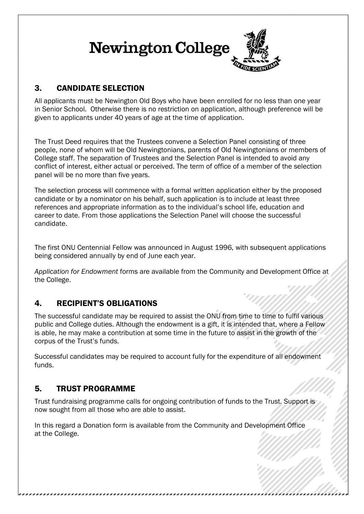

#### 3. CANDIDATE SELECTION

All applicants must be Newington Old Boys who have been enrolled for no less than one year in Senior School. Otherwise there is no restriction on application, although preference will be given to applicants under 40 years of age at the time of application.

The Trust Deed requires that the Trustees convene a Selection Panel consisting of three people, none of whom will be Old Newingtonians, parents of Old Newingtonians or members of College staff. The separation of Trustees and the Selection Panel is intended to avoid any conflict of interest, either actual or perceived. The term of office of a member of the selection panel will be no more than five years.

The selection process will commence with a formal written application either by the proposed candidate or by a nominator on his behalf, such application is to include at least three references and appropriate information as to the individual's school life, education and career to date. From those applications the Selection Panel will choose the successful candidate.

The first ONU Centennial Fellow was announced in August 1996, with subsequent applications being considered annually by end of June each year.

*Application for Endowment* forms are available from the Community and Development Office at the College.

#### 4. RECIPIENT'S OBLIGATIONS

The successful candidate may be required to assist the ONU from time to time to fulfil various public and College duties. Although the endowment is a gift, it is intended that, where a Fellow is able, he may make a contribution at some time in the future to assist in the growth of the corpus of the Trust's funds.

Successful candidates may be required to account fully for the expenditure of all endowment funds.

#### 5. TRUST PROGRAMME

Trust fundraising programme calls for ongoing contribution of funds to the Trust. Support is now sought from all those who are able to assist.

In this regard a Donation form is available from the Community and Development Office at the College.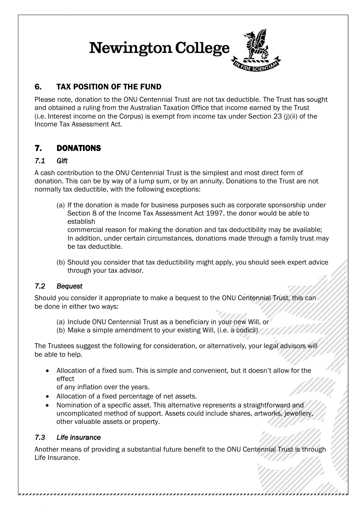

#### 6. TAX POSITION OF THE FUND

Please note, donation to the ONU Centennial Trust are not tax deductible. The Trust has sought and obtained a ruling from the Australian Taxation Office that income earned by the Trust (i.e. Interest income on the Corpus) is exempt from income tax under Section 23 (j)(ii) of the Income Tax Assessment Act.

#### 7. DONATIONS

#### *7.1 Gift*

A cash contribution to the ONU Centennial Trust is the simplest and most direct form of donation. This can be by way of a lump sum, or by an annuity. Donations to the Trust are not normally tax deductible, with the following exceptions:

(a) If the donation is made for business purposes such as corporate sponsorship under Section 8 of the Income Tax Assessment Act 1997, the donor would be able to establish

commercial reason for making the donation and tax deductibility may be available; In addition, under certain circumstances, donations made through a family trust may be tax deductible.

(b) Should you consider that tax deductibility might apply, you should seek expert advice through your tax advisor.

#### *7.2 Bequest*

Should you consider it appropriate to make a bequest to the ONU Centennial Trust, this can be done in either two ways:

- (a) Include ONU Centennial Trust as a beneficiary in your new Will, or
- (b) Make a simple amendment to your existing Will, (i.e. a codicil)

The Trustees suggest the following for consideration, or alternatively, your legal advisors will be able to help.

 Allocation of a fixed sum. This is simple and convenient, but it doesn't allow for the effect

of any inflation over the years.

Allocation of a fixed percentage of net assets.

 Nomination of a specific asset. This alternative represents a straightforward and uncomplicated method of support. Assets could include shares, artworks, jewellery, other valuable assets or property.

#### *7.3 Life insurance*

Another means of providing a substantial future benefit to the ONU Centennial Trust is through Life Insurance.